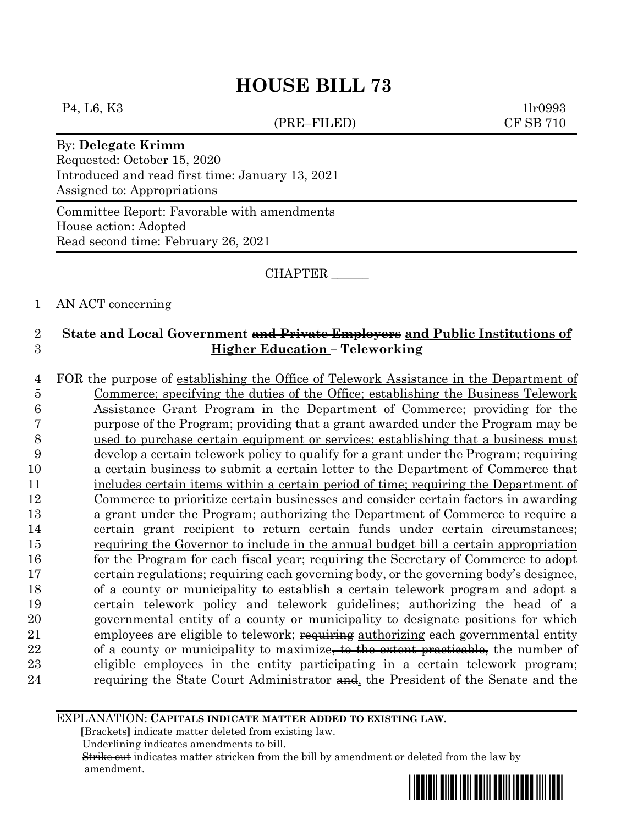# **HOUSE BILL 73**

#### P<sub>4</sub>, L<sub>6</sub>, K<sub>3</sub> 1lr0993

(PRE–FILED) CF SB 710

### By: **Delegate Krimm**

Requested: October 15, 2020 Introduced and read first time: January 13, 2021 Assigned to: Appropriations

Committee Report: Favorable with amendments House action: Adopted Read second time: February 26, 2021

CHAPTER \_\_\_\_\_\_

## 1 AN ACT concerning

## 2 **State and Local Government and Private Employers and Public Institutions of**  3 **Higher Education – Teleworking**

 FOR the purpose of establishing the Office of Telework Assistance in the Department of Commerce; specifying the duties of the Office; establishing the Business Telework Assistance Grant Program in the Department of Commerce; providing for the purpose of the Program; providing that a grant awarded under the Program may be used to purchase certain equipment or services; establishing that a business must develop a certain telework policy to qualify for a grant under the Program; requiring a certain business to submit a certain letter to the Department of Commerce that 11 includes certain items within a certain period of time; requiring the Department of Commerce to prioritize certain businesses and consider certain factors in awarding a grant under the Program; authorizing the Department of Commerce to require a certain grant recipient to return certain funds under certain circumstances; requiring the Governor to include in the annual budget bill a certain appropriation for the Program for each fiscal year; requiring the Secretary of Commerce to adopt certain regulations; requiring each governing body, or the governing body's designee, of a county or municipality to establish a certain telework program and adopt a certain telework policy and telework guidelines; authorizing the head of a governmental entity of a county or municipality to designate positions for which 21 employees are eligible to telework; requiring authorizing each governmental entity 22 of a county or municipality to maximize<del>, to the extent practicable,</del> the number of eligible employees in the entity participating in a certain telework program; 24 requiring the State Court Administrator  $\frac{1}{2}$ , the President of the Senate and the

EXPLANATION: **CAPITALS INDICATE MATTER ADDED TO EXISTING LAW**.

 **[**Brackets**]** indicate matter deleted from existing law.

Underlining indicates amendments to bill.

 Strike out indicates matter stricken from the bill by amendment or deleted from the law by amendment.

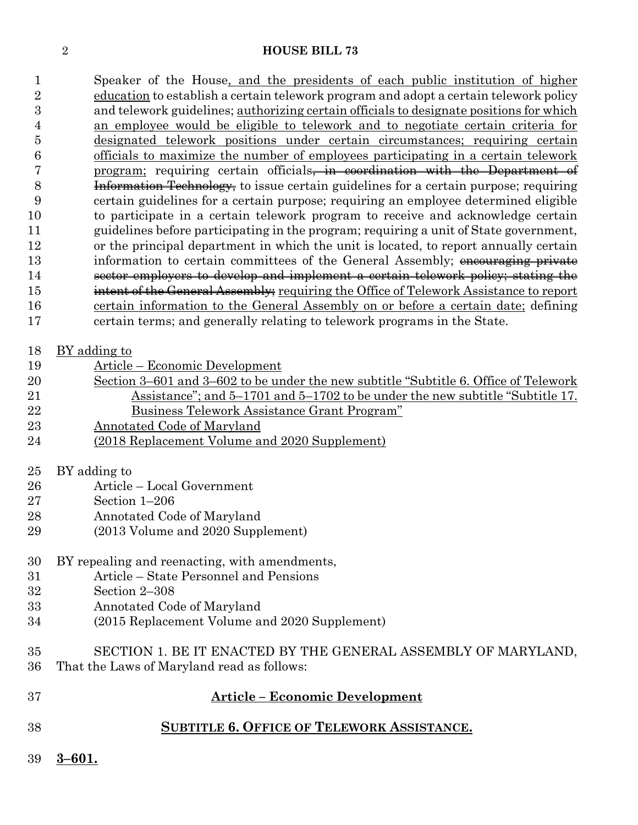### **HOUSE BILL 73**

 Speaker of the House, and the presidents of each public institution of higher education to establish a certain telework program and adopt a certain telework policy and telework guidelines; authorizing certain officials to designate positions for which an employee would be eligible to telework and to negotiate certain criteria for designated telework positions under certain circumstances; requiring certain officials to maximize the number of employees participating in a certain telework 7 program; requiring certain officials, in coordination with the Department of Information Technology, to issue certain guidelines for a certain purpose; requiring certain guidelines for a certain purpose; requiring an employee determined eligible to participate in a certain telework program to receive and acknowledge certain guidelines before participating in the program; requiring a unit of State government, or the principal department in which the unit is located, to report annually certain 13 information to certain committees of the General Assembly; encouraging private sector employers to develop and implement a certain telework policy; stating the 15 intent of the General Assembly; requiring the Office of Telework Assistance to report certain information to the General Assembly on or before a certain date; defining certain terms; and generally relating to telework programs in the State.

- BY adding to
- Article Economic Development
- Section 3–601 and 3–602 to be under the new subtitle "Subtitle 6. Office of Telework Assistance"; and 5–1701 and 5–1702 to be under the new subtitle "Subtitle 17. Business Telework Assistance Grant Program"
- Annotated Code of Maryland
- (2018 Replacement Volume and 2020 Supplement)
- BY adding to
- Article Local Government
- Section 1–206
- Annotated Code of Maryland
- (2013 Volume and 2020 Supplement)

## BY repealing and reenacting, with amendments,

- Article State Personnel and Pensions
- Section 2–308
- Annotated Code of Maryland
- (2015 Replacement Volume and 2020 Supplement)
- SECTION 1. BE IT ENACTED BY THE GENERAL ASSEMBLY OF MARYLAND,
- That the Laws of Maryland read as follows:

| 37 |            | <b>Article – Economic Development</b>             |
|----|------------|---------------------------------------------------|
| 38 |            | <b>SUBTITLE 6. OFFICE OF TELEWORK ASSISTANCE.</b> |
| 39 | $3 - 601.$ |                                                   |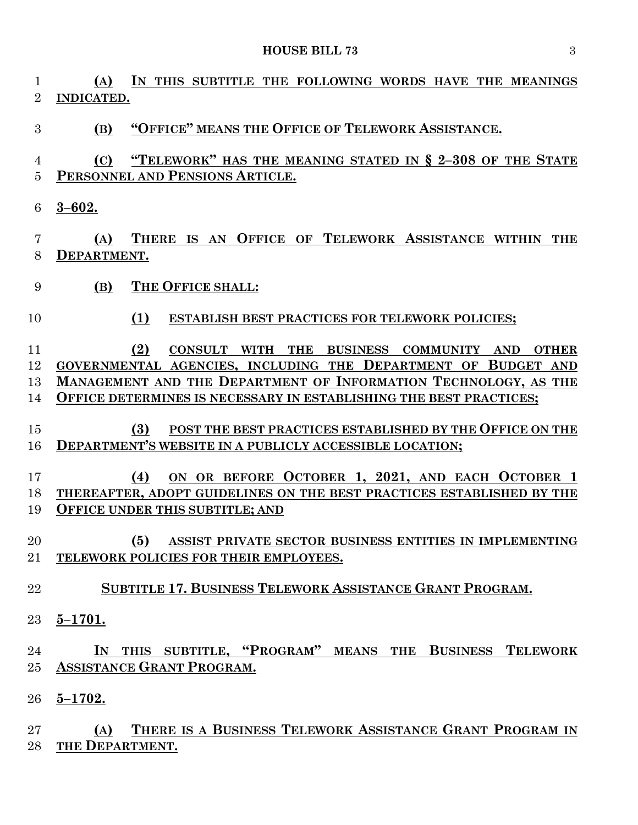**(A) IN THIS SUBTITLE THE FOLLOWING WORDS HAVE THE MEANINGS INDICATED. (B) "OFFICE" MEANS THE OFFICE OF TELEWORK ASSISTANCE. (C) "TELEWORK" HAS THE MEANING STATED IN § 2–308 OF THE STATE PERSONNEL AND PENSIONS ARTICLE. 3–602. (A) THERE IS AN OFFICE OF TELEWORK ASSISTANCE WITHIN THE DEPARTMENT. (B) THE OFFICE SHALL: (1) ESTABLISH BEST PRACTICES FOR TELEWORK POLICIES; (2) CONSULT WITH THE BUSINESS COMMUNITY AND OTHER GOVERNMENTAL AGENCIES, INCLUDING THE DEPARTMENT OF BUDGET AND MANAGEMENT AND THE DEPARTMENT OF INFORMATION TECHNOLOGY, AS THE OFFICE DETERMINES IS NECESSARY IN ESTABLISHING THE BEST PRACTICES; (3) POST THE BEST PRACTICES ESTABLISHED BY THE OFFICE ON THE DEPARTMENT'S WEBSITE IN A PUBLICLY ACCESSIBLE LOCATION; (4) ON OR BEFORE OCTOBER 1, 2021, AND EACH OCTOBER 1 THEREAFTER, ADOPT GUIDELINES ON THE BEST PRACTICES ESTABLISHED BY THE OFFICE UNDER THIS SUBTITLE; AND (5) ASSIST PRIVATE SECTOR BUSINESS ENTITIES IN IMPLEMENTING TELEWORK POLICIES FOR THEIR EMPLOYEES. SUBTITLE 17. BUSINESS TELEWORK ASSISTANCE GRANT PROGRAM. 5–1701. IN THIS SUBTITLE, "PROGRAM" MEANS THE BUSINESS TELEWORK ASSISTANCE GRANT PROGRAM. 5–1702. (A) THERE IS A BUSINESS TELEWORK ASSISTANCE GRANT PROGRAM IN** 

**THE DEPARTMENT.**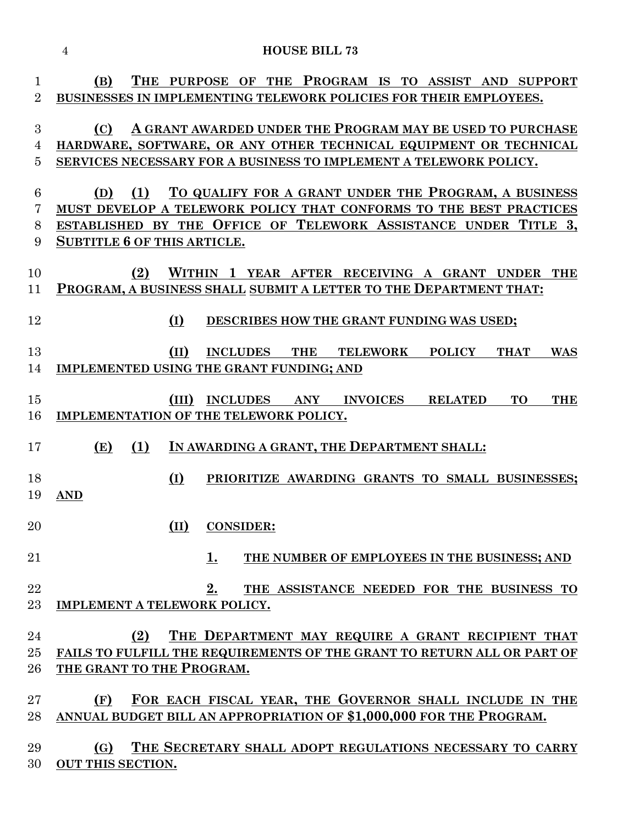| $\mathbf{1}$   | THE PURPOSE OF THE PROGRAM IS TO ASSIST AND SUPPORT<br>(B)                                   |  |
|----------------|----------------------------------------------------------------------------------------------|--|
| $\overline{2}$ | BUSINESSES IN IMPLEMENTING TELEWORK POLICIES FOR THEIR EMPLOYEES.                            |  |
| 3              | A GRANT AWARDED UNDER THE PROGRAM MAY BE USED TO PURCHASE<br>(C)                             |  |
| 4              | HARDWARE, SOFTWARE, OR ANY OTHER TECHNICAL EQUIPMENT OR TECHNICAL                            |  |
| $\overline{5}$ | SERVICES NECESSARY FOR A BUSINESS TO IMPLEMENT A TELEWORK POLICY.                            |  |
| 6              | TO QUALIFY FOR A GRANT UNDER THE PROGRAM, A BUSINESS<br>(1)<br>(D)                           |  |
| 7              | MUST DEVELOP A TELEWORK POLICY THAT CONFORMS TO THE BEST PRACTICES                           |  |
| 8              | ESTABLISHED BY THE OFFICE OF TELEWORK ASSISTANCE UNDER TITLE 3,                              |  |
| 9              | <b>SUBTITLE 6 OF THIS ARTICLE.</b>                                                           |  |
| 10             | WITHIN 1 YEAR AFTER RECEIVING A GRANT UNDER THE<br>(2)                                       |  |
| 11             | PROGRAM, A BUSINESS SHALL SUBMIT A LETTER TO THE DEPARTMENT THAT:                            |  |
| 12             | (I)<br>DESCRIBES HOW THE GRANT FUNDING WAS USED;                                             |  |
| 13             | (II)<br><b>INCLUDES</b> THE<br><b>POLICY</b><br><b>TELEWORK</b><br><b>THAT</b><br><b>WAS</b> |  |
| 14             | <b>IMPLEMENTED USING THE GRANT FUNDING; AND</b>                                              |  |
|                |                                                                                              |  |
| 15             | (III)<br><b>INCLUDES ANY</b><br><b>INVOICES</b><br><b>RELATED</b><br><b>TO</b><br><b>THE</b> |  |
| 16             | IMPLEMENTATION OF THE TELEWORK POLICY.                                                       |  |
|                |                                                                                              |  |
| 17             | IN AWARDING A GRANT, THE DEPARTMENT SHALL:<br>(E)<br>(1)                                     |  |
| 18             | (I)<br>PRIORITIZE AWARDING GRANTS TO SMALL BUSINESSES;                                       |  |
| 19             | <b>AND</b>                                                                                   |  |
|                |                                                                                              |  |
| 20             | (II)<br><b>CONSIDER:</b>                                                                     |  |
|                |                                                                                              |  |
| 21             | 1.<br>THE NUMBER OF EMPLOYEES IN THE BUSINESS; AND                                           |  |
| 22             | 2.<br>THE ASSISTANCE NEEDED FOR THE BUSINESS TO                                              |  |
| 23             | IMPLEMENT A TELEWORK POLICY.                                                                 |  |
|                |                                                                                              |  |
| 24             | THE DEPARTMENT MAY REQUIRE A GRANT RECIPIENT THAT<br>(2)                                     |  |
| 25             | FAILS TO FULFILL THE REQUIREMENTS OF THE GRANT TO RETURN ALL OR PART OF                      |  |
| 26             | THE GRANT TO THE PROGRAM.                                                                    |  |
|                |                                                                                              |  |
| $27\,$         | FOR EACH FISCAL YEAR, THE GOVERNOR SHALL INCLUDE IN THE<br>(F)                               |  |
| 28             | ANNUAL BUDGET BILL AN APPROPRIATION OF \$1,000,000 FOR THE PROGRAM.                          |  |
|                |                                                                                              |  |
| 29             | THE SECRETARY SHALL ADOPT REGULATIONS NECESSARY TO CARRY<br>(G)                              |  |
| 30             | <b>OUT THIS SECTION.</b>                                                                     |  |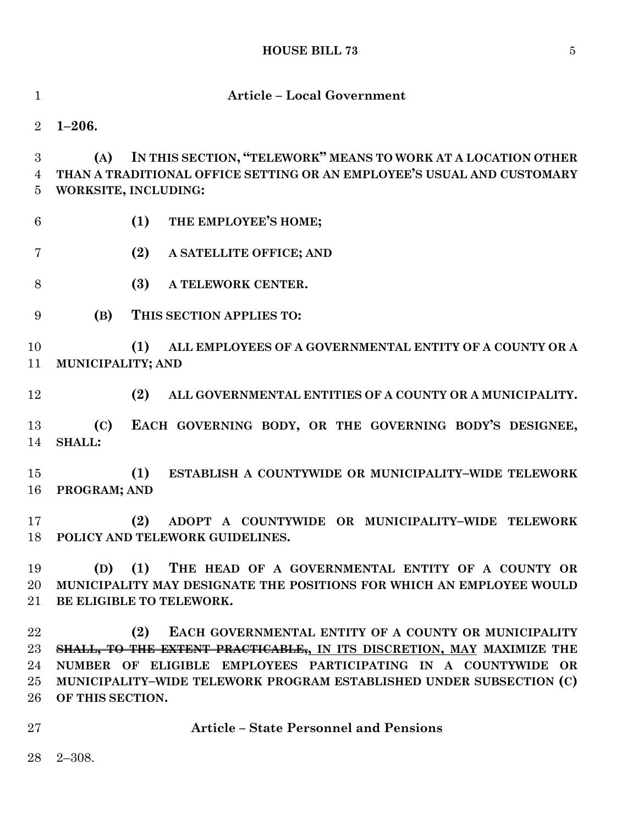# **HOUSE BILL 73** 5

| $\mathbf{1}$               | <b>Article - Local Government</b>                                                                                                                                                                                                                                                                |
|----------------------------|--------------------------------------------------------------------------------------------------------------------------------------------------------------------------------------------------------------------------------------------------------------------------------------------------|
| $\overline{2}$             | $1 - 206.$                                                                                                                                                                                                                                                                                       |
| 3<br>4<br>$\overline{5}$   | IN THIS SECTION, "TELEWORK" MEANS TO WORK AT A LOCATION OTHER<br>(A)<br>THAN A TRADITIONAL OFFICE SETTING OR AN EMPLOYEE'S USUAL AND CUSTOMARY<br>WORKSITE, INCLUDING:                                                                                                                           |
| $6\phantom{.}6$            | (1)<br>THE EMPLOYEE'S HOME;                                                                                                                                                                                                                                                                      |
| $\overline{7}$             | (2)<br>A SATELLITE OFFICE; AND                                                                                                                                                                                                                                                                   |
| 8                          | (3)<br>A TELEWORK CENTER.                                                                                                                                                                                                                                                                        |
| 9                          | (B)<br>THIS SECTION APPLIES TO:                                                                                                                                                                                                                                                                  |
| 10<br>11                   | (1)<br>ALL EMPLOYEES OF A GOVERNMENTAL ENTITY OF A COUNTY OR A<br>MUNICIPALITY; AND                                                                                                                                                                                                              |
| 12                         | (2)<br>ALL GOVERNMENTAL ENTITIES OF A COUNTY OR A MUNICIPALITY.                                                                                                                                                                                                                                  |
| 13<br>14                   | EACH GOVERNING BODY, OR THE GOVERNING BODY'S DESIGNEE,<br>(C)<br><b>SHALL:</b>                                                                                                                                                                                                                   |
| 15<br>16                   | (1)<br>ESTABLISH A COUNTYWIDE OR MUNICIPALITY-WIDE TELEWORK<br>PROGRAM; AND                                                                                                                                                                                                                      |
| 17<br>18                   | (2)<br>ADOPT A COUNTYWIDE OR MUNICIPALITY-WIDE TELEWORK<br>POLICY AND TELEWORK GUIDELINES.                                                                                                                                                                                                       |
| 19<br>20<br>21             | THE HEAD OF A GOVERNMENTAL ENTITY OF A COUNTY OR<br>(1)<br>(D)<br>MUNICIPALITY MAY DESIGNATE THE POSITIONS FOR WHICH AN EMPLOYEE WOULD<br>BE ELIGIBLE TO TELEWORK.                                                                                                                               |
| 22<br>23<br>24<br>25<br>26 | (2)<br>EACH GOVERNMENTAL ENTITY OF A COUNTY OR MUNICIPALITY<br>SHALL, TO THE EXTENT PRACTICABLE, IN ITS DISCRETION, MAY MAXIMIZE THE<br>NUMBER OF ELIGIBLE EMPLOYEES PARTICIPATING IN A COUNTYWIDE OR<br>MUNICIPALITY-WIDE TELEWORK PROGRAM ESTABLISHED UNDER SUBSECTION (C)<br>OF THIS SECTION. |
| 27                         | <b>Article - State Personnel and Pensions</b>                                                                                                                                                                                                                                                    |
| 28                         | $2 - 308.$                                                                                                                                                                                                                                                                                       |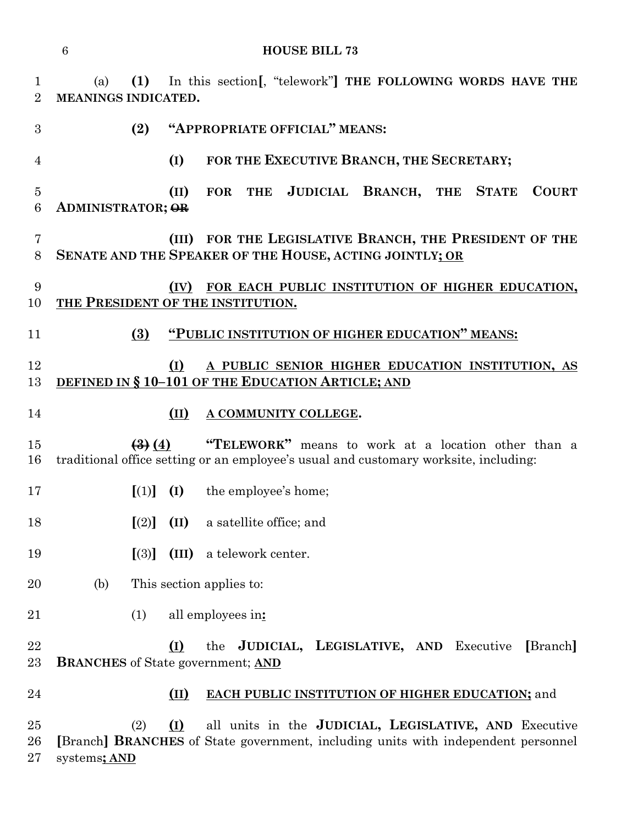**HOUSE BILL 73**

 (a) **(1)** In this section**[**, "telework"**] THE FOLLOWING WORDS HAVE THE MEANINGS INDICATED.**

**(2) "APPROPRIATE OFFICIAL" MEANS:**

**(I) FOR THE EXECUTIVE BRANCH, THE SECRETARY;**

 **(II) FOR THE JUDICIAL BRANCH, THE STATE COURT ADMINISTRATOR; OR**

 **(III) FOR THE LEGISLATIVE BRANCH, THE PRESIDENT OF THE SENATE AND THE SPEAKER OF THE HOUSE, ACTING JOINTLY; OR**

# **(IV) FOR EACH PUBLIC INSTITUTION OF HIGHER EDUCATION, THE PRESIDENT OF THE INSTITUTION.**

**(3) "PUBLIC INSTITUTION OF HIGHER EDUCATION" MEANS:**

## **(I) A PUBLIC SENIOR HIGHER EDUCATION INSTITUTION, AS DEFINED IN § 10–101 OF THE EDUCATION ARTICLE; AND**

- **(II) A COMMUNITY COLLEGE.**
- **(3) (4) "TELEWORK"** means to work at a location other than a traditional office setting or an employee's usual and customary worksite, including:
- **[**(1)**] (I)** the employee's home;
- **[**(2)**] (II)** a satellite office; and
- **[**(3)**] (III)** a telework center.
- (b) This section applies to:
- (1) all employees in**:**

 **(I)** the **JUDICIAL, LEGISLATIVE, AND** Executive **[**Branch**] BRANCHES** of State government; **AND**

#### **(II) EACH PUBLIC INSTITUTION OF HIGHER EDUCATION;** and

 (2) **(I)** all units in the **JUDICIAL, LEGISLATIVE, AND** Executive **[**Branch**] BRANCHES** of State government, including units with independent personnel systems**; AND**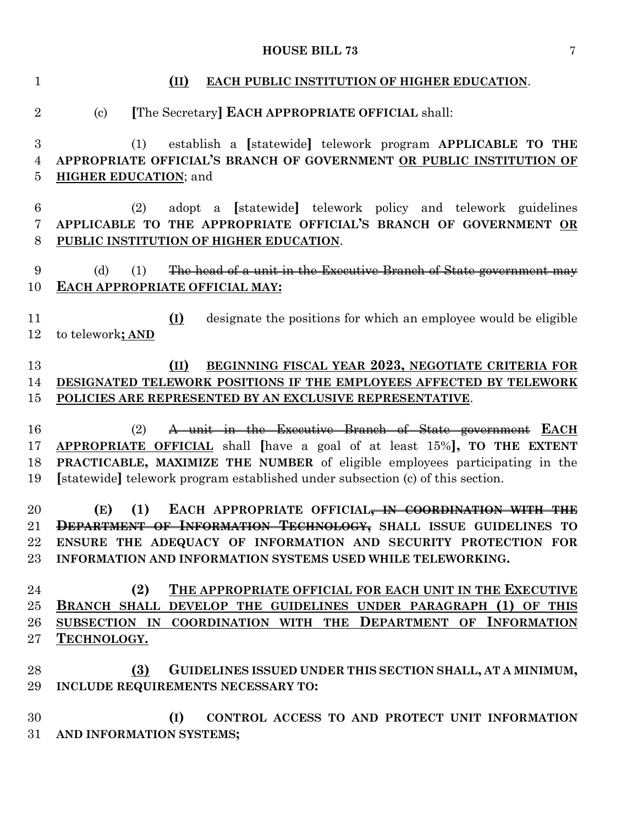# **HOUSE BILL 73** 7

| $\mathbf{1}$              | EACH PUBLIC INSTITUTION OF HIGHER EDUCATION.<br>(II)                                                                                                                                                                                                                                                     |
|---------------------------|----------------------------------------------------------------------------------------------------------------------------------------------------------------------------------------------------------------------------------------------------------------------------------------------------------|
| $\overline{2}$            | [The Secretary] EACH APPROPRIATE OFFICIAL shall:<br>$\left( \text{c}\right)$                                                                                                                                                                                                                             |
| 3<br>$\overline{4}$<br>5  | establish a [statewide] telework program APPLICABLE TO THE<br>(1)<br>APPROPRIATE OFFICIAL'S BRANCH OF GOVERNMENT OR PUBLIC INSTITUTION OF<br><b>HIGHER EDUCATION; and</b>                                                                                                                                |
| $6\phantom{.}6$<br>7<br>8 | adopt a [statewide] telework policy and telework guidelines<br>(2)<br>APPLICABLE TO THE APPROPRIATE OFFICIAL'S BRANCH OF GOVERNMENT OR<br>PUBLIC INSTITUTION OF HIGHER EDUCATION.                                                                                                                        |
| 9<br>10                   | The head of a unit in the Executive Branch of State government may<br>(d)<br>(1)<br>EACH APPROPRIATE OFFICIAL MAY:                                                                                                                                                                                       |
| 11<br>12                  | designate the positions for which an employee would be eligible<br>(I)<br>to telework; AND                                                                                                                                                                                                               |
| 13<br>14<br>15            | BEGINNING FISCAL YEAR 2023, NEGOTIATE CRITERIA FOR<br>(II)<br>DESIGNATED TELEWORK POSITIONS IF THE EMPLOYEES AFFECTED BY TELEWORK<br>POLICIES ARE REPRESENTED BY AN EXCLUSIVE REPRESENTATIVE.                                                                                                            |
| 16<br>17<br>18<br>19      | A unit in the Executive Branch of State government EACH<br>(2)<br>APPROPRIATE OFFICIAL shall have a goal of at least 15%, TO THE EXTENT<br>PRACTICABLE, MAXIMIZE THE NUMBER of eligible employees participating in the<br>[statewide] telework program established under subsection (c) of this section. |
| 20<br>21<br>22<br>$23\,$  | EACH APPROPRIATE OFFICIAL <del>, IN COORDINATION WITH THE</del><br>(E)<br>(1)<br>DEPARTMENT OF INFORMATION TECHNOLOGY, SHALL ISSUE GUIDELINES TO<br>ENSURE THE ADEQUACY OF INFORMATION AND SECURITY PROTECTION FOR<br>INFORMATION AND INFORMATION SYSTEMS USED WHILE TELEWORKING.                        |
| 24<br>25<br>26<br>$27\,$  | (2)<br>THE APPROPRIATE OFFICIAL FOR EACH UNIT IN THE EXECUTIVE<br>BRANCH SHALL DEVELOP THE GUIDELINES UNDER PARAGRAPH (1) OF THIS<br>SUBSECTION IN COORDINATION WITH THE DEPARTMENT OF INFORMATION<br>TECHNOLOGY.                                                                                        |
| 28<br>29                  | (3)<br>GUIDELINES ISSUED UNDER THIS SECTION SHALL, AT A MINIMUM,<br>INCLUDE REQUIREMENTS NECESSARY TO:                                                                                                                                                                                                   |
| 30<br>31                  | (I)<br>CONTROL ACCESS TO AND PROTECT UNIT INFORMATION<br>AND INFORMATION SYSTEMS;                                                                                                                                                                                                                        |